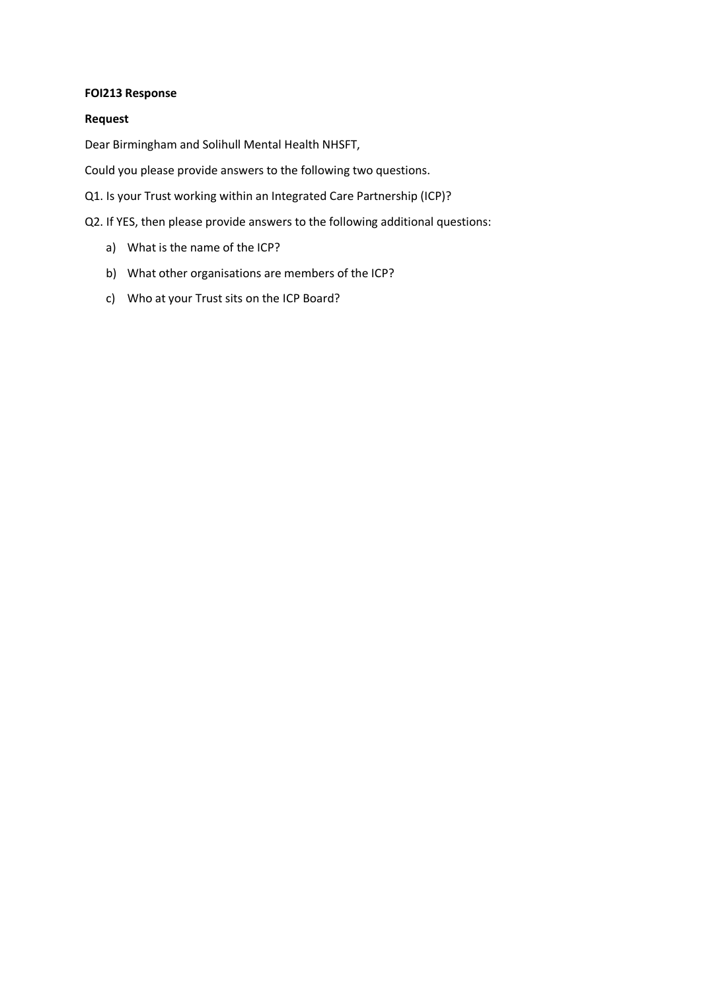#### **FOI213 Response**

#### **Request**

Dear Birmingham and Solihull Mental Health NHSFT,

Could you please provide answers to the following two questions.

Q1. Is your Trust working within an Integrated Care Partnership (ICP)?

Q2. If YES, then please provide answers to the following additional questions:

- a) What is the name of the ICP?
- b) What other organisations are members of the ICP?
- c) Who at your Trust sits on the ICP Board?